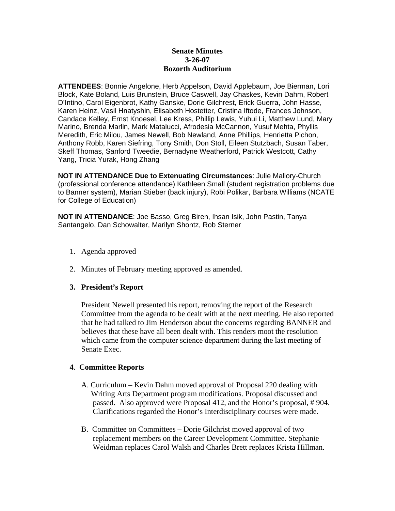## **Senate Minutes 3-26-07 Bozorth Auditorium**

**ATTENDEES**: Bonnie Angelone, Herb Appelson, David Applebaum, Joe Bierman, Lori Block, Kate Boland, Luis Brunstein, Bruce Caswell, Jay Chaskes, Kevin Dahm, Robert D'Intino, Carol Eigenbrot, Kathy Ganske, Dorie Gilchrest, Erick Guerra, John Hasse, Karen Heinz, Vasil Hnatyshin, Elisabeth Hostetter, Cristina Iftode, Frances Johnson, Candace Kelley, Ernst Knoesel, Lee Kress, Phillip Lewis, Yuhui Li, Matthew Lund, Mary Marino, Brenda Marlin, Mark Matalucci, Afrodesia McCannon, Yusuf Mehta, Phyllis Meredith, Eric Milou, James Newell, Bob Newland, Anne Phillips, Henrietta Pichon, Anthony Robb, Karen Siefring, Tony Smith, Don Stoll, Eileen Stutzbach, Susan Taber, Skeff Thomas, Sanford Tweedie, Bernadyne Weatherford, Patrick Westcott, Cathy Yang, Tricia Yurak, Hong Zhang

**NOT IN ATTENDANCE Due to Extenuating Circumstances**: Julie Mallory-Church (professional conference attendance) Kathleen Small (student registration problems due to Banner system), Marian Stieber (back injury), Robi Polikar, Barbara Williams (NCATE for College of Education)

**NOT IN ATTENDANCE**: Joe Basso, Greg Biren, Ihsan Isik, John Pastin, Tanya Santangelo, Dan Schowalter, Marilyn Shontz, Rob Sterner

- 1. Agenda approved
- 2. Minutes of February meeting approved as amended.

## **3. President's Report**

President Newell presented his report, removing the report of the Research Committee from the agenda to be dealt with at the next meeting. He also reported that he had talked to Jim Henderson about the concerns regarding BANNER and believes that these have all been dealt with. This renders moot the resolution which came from the computer science department during the last meeting of Senate Exec.

## **4**. **Committee Reports**

- A. Curriculum Kevin Dahm moved approval of Proposal 220 dealing with Writing Arts Department program modifications. Proposal discussed and passed. Also approved were Proposal 412, and the Honor's proposal, # 904. Clarifications regarded the Honor's Interdisciplinary courses were made.
- B. Committee on Committees Dorie Gilchrist moved approval of two replacement members on the Career Development Committee. Stephanie Weidman replaces Carol Walsh and Charles Brett replaces Krista Hillman.